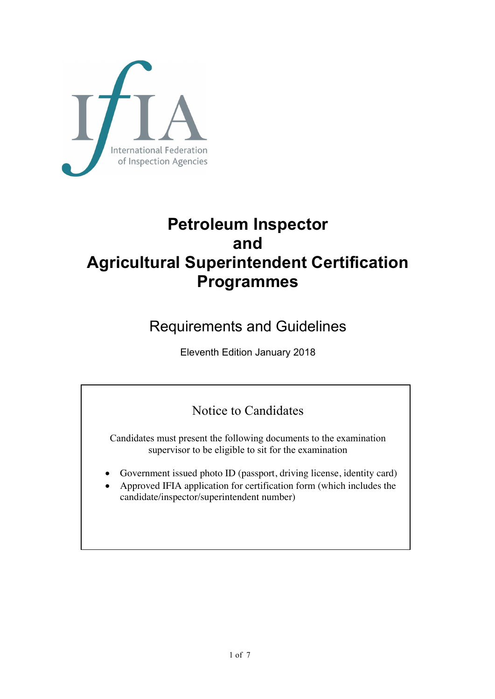

# **Petroleum Inspector and Agricultural Superintendent Certification Programmes**

## Requirements and Guidelines

Eleventh Edition January 2018

## Notice to Candidates

Candidates must present the following documents to the examination supervisor to be eligible to sit for the examination

- Government issued photo ID (passport, driving license, identity card)
- Approved IFIA application for certification form (which includes the candidate/inspector/superintendent number)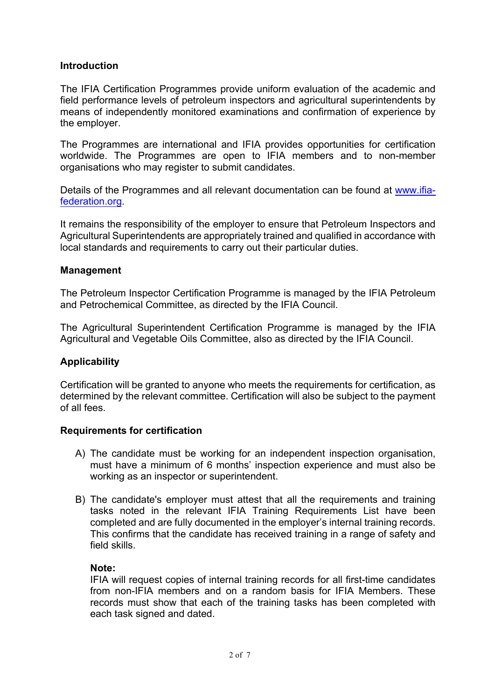## **Introduction**

The IFIA Certification Programmes provide uniform evaluation of the academic and field performance levels of petroleum inspectors and agricultural superintendents by means of independently monitored examinations and confirmation of experience by the employer.

The Programmes are international and IFIA provides opportunities for certification worldwide. The Programmes are open to IFIA members and to non-member organisations who may register to submit candidates.

Details of the Programmes and all relevant documentation can be found at www.ifiafederation.org.

It remains the responsibility of the employer to ensure that Petroleum Inspectors and Agricultural Superintendents are appropriately trained and qualified in accordance with local standards and requirements to carry out their particular duties.

#### **Management**

The Petroleum Inspector Certification Programme is managed by the IFIA Petroleum and Petrochemical Committee, as directed by the IFIA Council.

The Agricultural Superintendent Certification Programme is managed by the IFIA Agricultural and Vegetable Oils Committee, also as directed by the IFIA Council.

#### **Applicability**

Certification will be granted to anyone who meets the requirements for certification, as determined by the relevant committee. Certification will also be subject to the payment of all fees.

#### **Requirements for certification**

- A) The candidate must be working for an independent inspection organisation, must have a minimum of 6 months' inspection experience and must also be working as an inspector or superintendent.
- B) The candidate's employer must attest that all the requirements and training tasks noted in the relevant IFIA Training Requirements List have been completed and are fully documented in the employer's internal training records. This confirms that the candidate has received training in a range of safety and field skills.

#### **Note:**

IFIA will request copies of internal training records for all first-time candidates from non-IFIA members and on a random basis for IFIA Members. These records must show that each of the training tasks has been completed with each task signed and dated.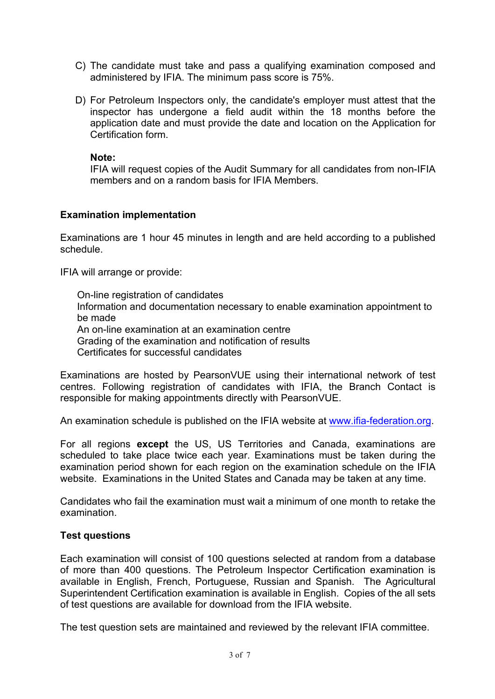- C) The candidate must take and pass a qualifying examination composed and administered by IFIA. The minimum pass score is 75%.
- D) For Petroleum Inspectors only, the candidate's employer must attest that the inspector has undergone a field audit within the 18 months before the application date and must provide the date and location on the Application for Certification form.

#### **Note:**

IFIA will request copies of the Audit Summary for all candidates from non-IFIA members and on a random basis for IFIA Members.

## **Examination implementation**

Examinations are 1 hour 45 minutes in length and are held according to a published schedule.

IFIA will arrange or provide:

On-line registration of candidates Information and documentation necessary to enable examination appointment to be made An on-line examination at an examination centre Grading of the examination and notification of results Certificates for successful candidates

Examinations are hosted by PearsonVUE using their international network of test centres. Following registration of candidates with IFIA, the Branch Contact is responsible for making appointments directly with PearsonVUE.

An examination schedule is published on the IFIA website at www.ifia-federation.org.

For all regions **except** the US, US Territories and Canada, examinations are scheduled to take place twice each year. Examinations must be taken during the examination period shown for each region on the examination schedule on the IFIA website. Examinations in the United States and Canada may be taken at any time.

Candidates who fail the examination must wait a minimum of one month to retake the examination.

## **Test questions**

Each examination will consist of 100 questions selected at random from a database of more than 400 questions. The Petroleum Inspector Certification examination is available in English, French, Portuguese, Russian and Spanish. The Agricultural Superintendent Certification examination is available in English. Copies of the all sets of test questions are available for download from the IFIA website.

The test question sets are maintained and reviewed by the relevant IFIA committee.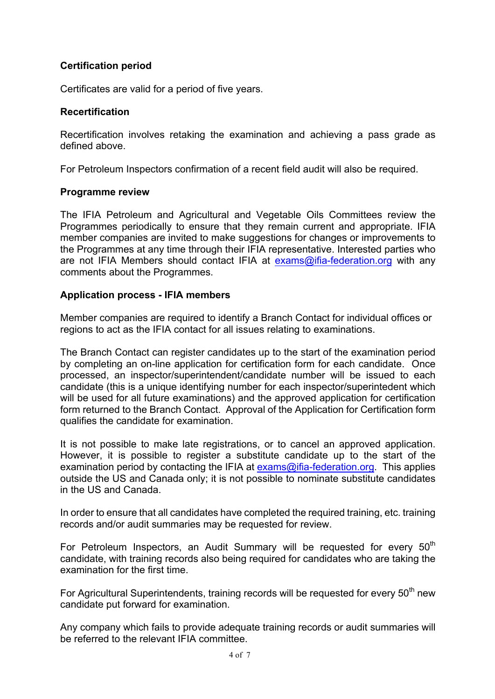## **Certification period**

Certificates are valid for a period of five years.

#### **Recertification**

Recertification involves retaking the examination and achieving a pass grade as defined above.

For Petroleum Inspectors confirmation of a recent field audit will also be required.

#### **Programme review**

The IFIA Petroleum and Agricultural and Vegetable Oils Committees review the Programmes periodically to ensure that they remain current and appropriate. IFIA member companies are invited to make suggestions for changes or improvements to the Programmes at any time through their IFIA representative. Interested parties who are not IFIA Members should contact IFIA at exams@ifia-federation.org with any comments about the Programmes.

#### **Application process - IFIA members**

Member companies are required to identify a Branch Contact for individual offices or regions to act as the IFIA contact for all issues relating to examinations.

The Branch Contact can register candidates up to the start of the examination period by completing an on-line application for certification form for each candidate. Once processed, an inspector/superintendent/candidate number will be issued to each candidate (this is a unique identifying number for each inspector/superintedent which will be used for all future examinations) and the approved application for certification form returned to the Branch Contact. Approval of the Application for Certification form qualifies the candidate for examination.

It is not possible to make late registrations, or to cancel an approved application. However, it is possible to register a substitute candidate up to the start of the examination period by contacting the IFIA at  $exams@ifia-federation.org$ . This applies outside the US and Canada only; it is not possible to nominate substitute candidates in the US and Canada.

In order to ensure that all candidates have completed the required training, etc. training records and/or audit summaries may be requested for review.

For Petroleum Inspectors, an Audit Summary will be requested for every  $50<sup>th</sup>$ candidate, with training records also being required for candidates who are taking the examination for the first time.

For Agricultural Superintendents, training records will be requested for every  $50<sup>th</sup>$  new candidate put forward for examination.

Any company which fails to provide adequate training records or audit summaries will be referred to the relevant IFIA committee.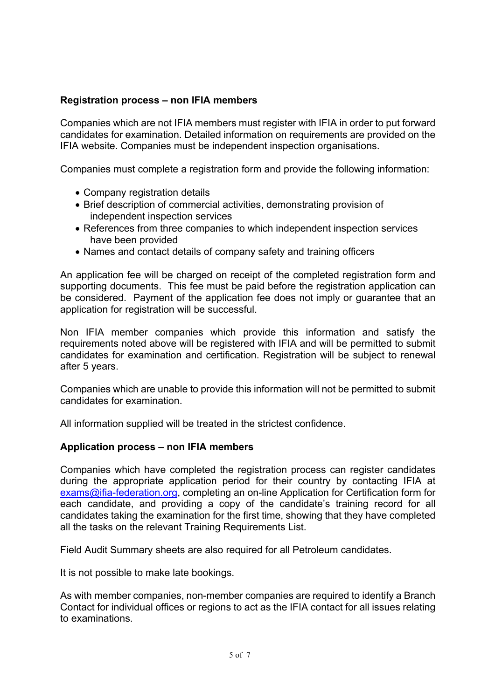## **Registration process – non IFIA members**

Companies which are not IFIA members must register with IFIA in order to put forward candidates for examination. Detailed information on requirements are provided on the IFIA website. Companies must be independent inspection organisations.

Companies must complete a registration form and provide the following information:

- Company registration details
- Brief description of commercial activities, demonstrating provision of independent inspection services
- References from three companies to which independent inspection services have been provided
- Names and contact details of company safety and training officers

An application fee will be charged on receipt of the completed registration form and supporting documents. This fee must be paid before the registration application can be considered. Payment of the application fee does not imply or guarantee that an application for registration will be successful.

Non IFIA member companies which provide this information and satisfy the requirements noted above will be registered with IFIA and will be permitted to submit candidates for examination and certification. Registration will be subject to renewal after 5 years.

Companies which are unable to provide this information will not be permitted to submit candidates for examination.

All information supplied will be treated in the strictest confidence.

#### **Application process – non IFIA members**

Companies which have completed the registration process can register candidates during the appropriate application period for their country by contacting IFIA at exams@ifia-federation.org, completing an on-line Application for Certification form for each candidate, and providing a copy of the candidate's training record for all candidates taking the examination for the first time, showing that they have completed all the tasks on the relevant Training Requirements List.

Field Audit Summary sheets are also required for all Petroleum candidates.

It is not possible to make late bookings.

As with member companies, non-member companies are required to identify a Branch Contact for individual offices or regions to act as the IFIA contact for all issues relating to examinations.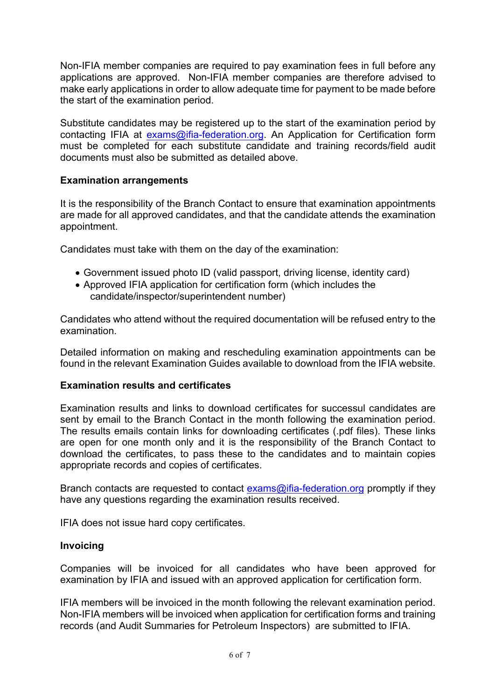Non-IFIA member companies are required to pay examination fees in full before any applications are approved. Non-IFIA member companies are therefore advised to make early applications in order to allow adequate time for payment to be made before the start of the examination period.

Substitute candidates may be registered up to the start of the examination period by contacting IFIA at exams@ifia-federation.org. An Application for Certification form must be completed for each substitute candidate and training records/field audit documents must also be submitted as detailed above.

## **Examination arrangements**

It is the responsibility of the Branch Contact to ensure that examination appointments are made for all approved candidates, and that the candidate attends the examination appointment.

Candidates must take with them on the day of the examination:

- Government issued photo ID (valid passport, driving license, identity card)
- Approved IFIA application for certification form (which includes the candidate/inspector/superintendent number)

Candidates who attend without the required documentation will be refused entry to the examination.

Detailed information on making and rescheduling examination appointments can be found in the relevant Examination Guides available to download from the IFIA website.

## **Examination results and certificates**

Examination results and links to download certificates for successul candidates are sent by email to the Branch Contact in the month following the examination period. The results emails contain links for downloading certificates (.pdf files). These links are open for one month only and it is the responsibility of the Branch Contact to download the certificates, to pass these to the candidates and to maintain copies appropriate records and copies of certificates.

Branch contacts are requested to contact exams@ifia-federation.org promptly if they have any questions regarding the examination results received.

IFIA does not issue hard copy certificates.

#### **Invoicing**

Companies will be invoiced for all candidates who have been approved for examination by IFIA and issued with an approved application for certification form.

IFIA members will be invoiced in the month following the relevant examination period. Non-IFIA members will be invoiced when application for certification forms and training records (and Audit Summaries for Petroleum Inspectors) are submitted to IFIA.